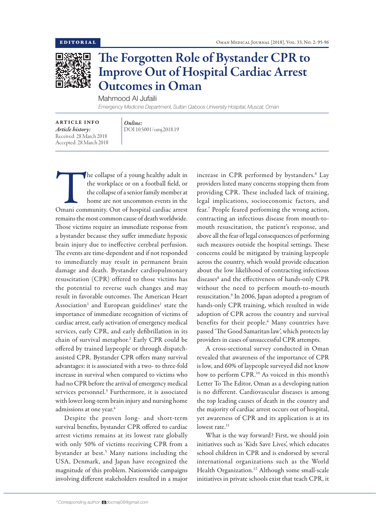

## The Forgotten Role of Bystander CPR to Improve Out of Hospital Cardiac Arrest Outcomes in Oman

Mahmood Al Jufaili

*Emergency Medicine Department, Sultan Qaboos University Hospital, Muscat, Oman*

ARTICLE INFO *Article history:* Received: 28 March 2018 Accepted: 28 March 2018

*Online:* DOI 10.5001/omj.2018.19

The collapse of a young healthy adult in<br>
the workplace or on a football field, or<br>
the collapse of a senior family member at<br>
home are not uncommon events in the<br>
Omani community. Out of hospital cardiac arrest the workplace or on a football field, or the collapse of a senior family member at home are not uncommon events in the remains the most common cause of death worldwide. Those victims require an immediate response from a bystander because they suffer immediate hypoxic brain injury due to ineffective cerebral perfusion. The events are time-dependent and if not responded to immediately may result in permanent brain damage and death. Bystander cardiopulmonary resuscitation (CPR) offered to those victims has the potential to reverse such changes and may result in favorable outcomes. The American Heart Association<sup>1</sup> and European guidelines<sup>1</sup> state the importance of immediate recognition of victims of cardiac arrest, early activation of emergency medical services, early CPR, and early defibrillation in its chain of survival metaphor.2 Early CPR could be offered by trained laypeople or through dispatchassisted CPR. Bystander CPR offers many survival advantages: it is associated with a two- to three-fold increase in survival when compared to victims who had no CPR before the arrival of emergency medical services personnel.<sup>3</sup> Furthermore, it is associated with lower long-term brain injury and nursing home admissions at one year.<sup>4</sup>

Despite the proven long- and short-term survival benefits, bystander CPR offered to cardiac arrest victims remains at its lowest rate globally with only 50% of victims receiving CPR from a bystander at best.<sup>5</sup> Many nations including the USA, Denmark, and Japan have recognized the magnitude of this problem. Nationwide campaigns involving different stakeholders resulted in a major

increase in CPR performed by bystanders.<sup>6</sup> Lay providers listed many concerns stopping them from providing CPR. These included lack of training, legal implications, socioeconomic factors, and fear.7 People feared performing the wrong action, contracting an infectious disease from mouth-tomouth resuscitation, the patient's response, and above all the fear of legal consequences of performing such measures outside the hospital settings. These concerns could be mitigated by training laypeople across the country, which would provide education about the low likelihood of contracting infectious diseases<sup>8</sup> and the effectiveness of hands-only CPR without the need to perform mouth-to-mouth resuscitation.9 In 2006, Japan adopted a program of hands-only CPR training, which resulted in wide adoption of CPR across the country and survival benefits for their people.6 Many countries have passed 'The Good Samaritan law', which protects lay providers in cases of unsuccessful CPR attempts.

A cross-sectional survey conducted in Oman revealed that awareness of the importance of CPR is low, and 60% of laypeople surveyed did not know how to perform CPR.10 As voiced in this month's Letter To The Editor, Oman as a developing nation is no different. Cardiovascular diseases is among the top leading causes of death in the country and the majority of cardiac arrest occurs out of hospital, yet awareness of CPR and its application is at its lowest rate.<sup>11</sup>

What is the way forward? First, we should join initiatives such as 'Kids Save Lives', which educates school children in CPR and is endorsed by several international organizations such as the World Health Organization.<sup>12</sup> Although some small-scale initiatives in private schools exist that teach CPR, it